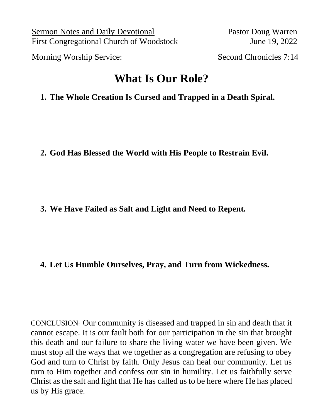Sermon Notes and Daily Devotional Pastor Doug Warren First Congregational Church of Woodstock June 19, 2022

Morning Worship Service: Second Chronicles 7:14

# **What Is Our Role?**

# **1. The Whole Creation Is Cursed and Trapped in a Death Spiral.**

**2. God Has Blessed the World with His People to Restrain Evil.** 

**3. We Have Failed as Salt and Light and Need to Repent.**

## **4. Let Us Humble Ourselves, Pray, and Turn from Wickedness.**

CONCLUSION: Our community is diseased and trapped in sin and death that it cannot escape. It is our fault both for our participation in the sin that brought this death and our failure to share the living water we have been given. We must stop all the ways that we together as a congregation are refusing to obey God and turn to Christ by faith. Only Jesus can heal our community. Let us turn to Him together and confess our sin in humility. Let us faithfully serve Christ as the salt and light that He has called us to be here where He has placed us by His grace.